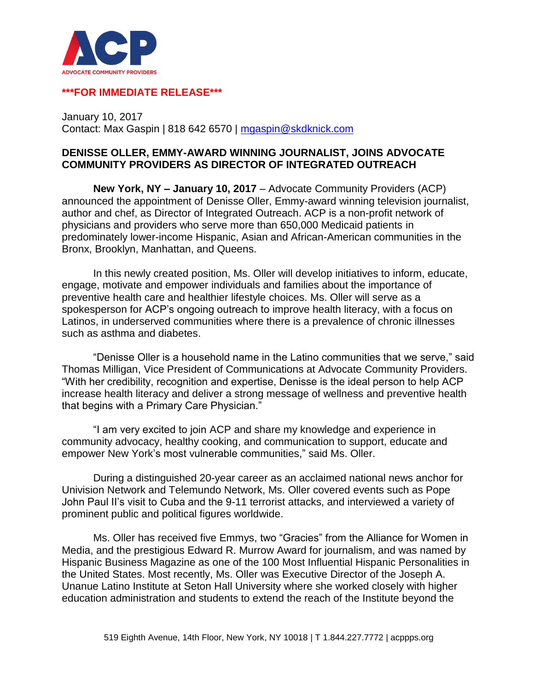

## **\*\*\*FOR IMMEDIATE RELEASE\*\*\***

January 10, 2017 Contact: Max Gaspin | 818 642 6570 | [mgaspin@skdknick.com](mailto:mgaspin@skdknick.com)

## **DENISSE OLLER, EMMY-AWARD WINNING JOURNALIST, JOINS ADVOCATE COMMUNITY PROVIDERS AS DIRECTOR OF INTEGRATED OUTREACH**

**New York, NY – January 10, 2017** – Advocate Community Providers (ACP) announced the appointment of Denisse Oller, Emmy-award winning television journalist, author and chef, as Director of Integrated Outreach. ACP is a non-profit network of physicians and providers who serve more than 650,000 Medicaid patients in predominately lower-income Hispanic, Asian and African-American communities in the Bronx, Brooklyn, Manhattan, and Queens.

In this newly created position, Ms. Oller will develop initiatives to inform, educate, engage, motivate and empower individuals and families about the importance of preventive health care and healthier lifestyle choices. Ms. Oller will serve as a spokesperson for ACP's ongoing outreach to improve health literacy, with a focus on Latinos, in underserved communities where there is a prevalence of chronic illnesses such as asthma and diabetes.

"Denisse Oller is a household name in the Latino communities that we serve," said Thomas Milligan, Vice President of Communications at Advocate Community Providers. "With her credibility, recognition and expertise, Denisse is the ideal person to help ACP increase health literacy and deliver a strong message of wellness and preventive health that begins with a Primary Care Physician."

"I am very excited to join ACP and share my knowledge and experience in community advocacy, healthy cooking, and communication to support, educate and empower New York's most vulnerable communities," said Ms. Oller.

During a distinguished 20-year career as an acclaimed national news anchor for Univision Network and Telemundo Network, Ms. Oller covered events such as Pope John Paul II's visit to Cuba and the 9-11 terrorist attacks, and interviewed a variety of prominent public and political figures worldwide.

Ms. Oller has received five Emmys, two "Gracies" from the Alliance for Women in Media, and the prestigious Edward R. Murrow Award for journalism, and was named by Hispanic Business Magazine as one of the 100 Most Influential Hispanic Personalities in the United States. Most recently, Ms. Oller was Executive Director of the Joseph A. Unanue Latino Institute at Seton Hall University where she worked closely with higher education administration and students to extend the reach of the Institute beyond the